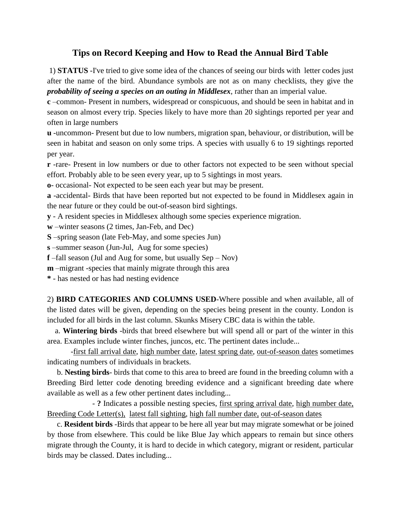## **Tips on Record Keeping and How to Read the Annual Bird Table**

1) **STATUS** -I've tried to give some idea of the chances of seeing our birds with letter codes just after the name of the bird. Abundance symbols are not as on many checklists, they give the *probability of seeing a species on an outing in Middlesex*, rather than an imperial value.

**c** –common- Present in numbers, widespread or conspicuous, and should be seen in habitat and in season on almost every trip. Species likely to have more than 20 sightings reported per year and often in large numbers

**u** -uncommon- Present but due to low numbers, migration span, behaviour, or distribution, will be seen in habitat and season on only some trips. A species with usually 6 to 19 sightings reported per year.

**r** -rare- Present in low numbers or due to other factors not expected to be seen without special effort. Probably able to be seen every year, up to 5 sightings in most years.

**o**- occasional- Not expected to be seen each year but may be present.

**a** -accidental- Birds that have been reported but not expected to be found in Middlesex again in the near future or they could be out-of-season bird sightings.

**y** - A resident species in Middlesex although some species experience migration.

**w** –winter seasons (2 times, Jan-Feb, and Dec)

**S** –spring season (late Feb-May, and some species Jun)

**s** –summer season (Jun-Jul, Aug for some species)

**f** –fall season (Jul and Aug for some, but usually Sep – Nov)

**m** –migrant -species that mainly migrate through this area

**\*** - has nested or has had nesting evidence

2) **BIRD CATEGORIES AND COLUMNS USED**-Where possible and when available, all of the listed dates will be given, depending on the species being present in the county. London is included for all birds in the last column. Skunks Misery CBC data is within the table.

 a. **Wintering birds** -birds that breed elsewhere but will spend all or part of the winter in this area. Examples include winter finches, juncos, etc. The pertinent dates include...

-first fall arrival date, high number date, latest spring date, out-of-season dates sometimes indicating numbers of individuals in brackets.

 b. **Nesting birds**- birds that come to this area to breed are found in the breeding column with a Breeding Bird letter code denoting breeding evidence and a significant breeding date where available as well as a few other pertinent dates including...

 - **?** Indicates a possible nesting species, first spring arrival date, high number date, Breeding Code Letter(s), latest fall sighting, high fall number date, out-of-season dates

 c. **Resident birds** -Birds that appear to be here all year but may migrate somewhat or be joined by those from elsewhere. This could be like Blue Jay which appears to remain but since others migrate through the County, it is hard to decide in which category, migrant or resident, particular birds may be classed. Dates including...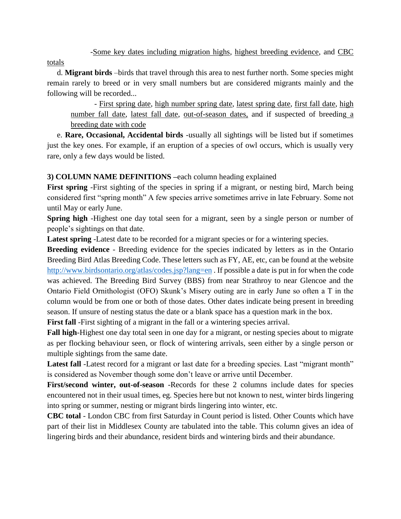-Some key dates including migration highs, highest breeding evidence, and CBC

totals

 d. **Migrant birds** –birds that travel through this area to nest further north. Some species might remain rarely to breed or in very small numbers but are considered migrants mainly and the following will be recorded...

- First spring date, high number spring date, latest spring date, first fall date, high number fall date, latest fall date, out-of-season dates, and if suspected of breeding a breeding date with code

 e. **Rare, Occasional, Accidental birds** -usually all sightings will be listed but if sometimes just the key ones. For example, if an eruption of a species of owl occurs, which is usually very rare, only a few days would be listed.

## **3) COLUMN NAME DEFINITIONS –**each column heading explained

First spring -First sighting of the species in spring if a migrant, or nesting bird, March being considered first "spring month" A few species arrive sometimes arrive in late February. Some not until May or early June.

**Spring high** -Highest one day total seen for a migrant, seen by a single person or number of people's sightings on that date.

Latest spring -Latest date to be recorded for a migrant species or for a wintering species.

**Breeding evidence** - Breeding evidence for the species indicated by letters as in the Ontario Breeding Bird Atlas Breeding Code. These letters such as FY, AE, etc, can be found at the website <http://www.birdsontario.org/atlas/codes.jsp?lang=en>. If possible a date is put in for when the code was achieved. The Breeding Bird Survey (BBS) from near Strathroy to near Glencoe and the Ontario Field Ornithologist (OFO) Skunk's Misery outing are in early June so often a T in the column would be from one or both of those dates. Other dates indicate being present in breeding season. If unsure of nesting status the date or a blank space has a question mark in the box.

**First fall** -First sighting of a migrant in the fall or a wintering species arrival.

**Fall high**-Highest one day total seen in one day for a migrant, or nesting species about to migrate as per flocking behaviour seen, or flock of wintering arrivals, seen either by a single person or multiple sightings from the same date.

Latest fall -Latest record for a migrant or last date for a breeding species. Last "migrant month" is considered as November though some don't leave or arrive until December.

**First/second winter, out-of-season** -Records for these 2 columns include dates for species encountered not in their usual times, eg. Species here but not known to nest, winter birds lingering into spring or summer, nesting or migrant birds lingering into winter, etc.

**CBC total** - London CBC from first Saturday in Count period is listed. Other Counts which have part of their list in Middlesex County are tabulated into the table. This column gives an idea of lingering birds and their abundance, resident birds and wintering birds and their abundance.